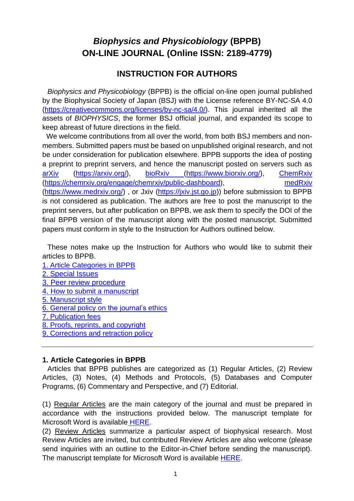# *Biophysics and Physicobiology* **(BPPB) ON-LINE JOURNAL (Online ISSN: 2189-4779)**

## **INSTRUCTION FOR AUTHORS**

*Biophysics and Physicobiology* (BPPB) is the official on-line open journal published by the Biophysical Society of Japan (BSJ) with the License reference BY-NC-SA 4.0 [\(https://creativecommons.org/licenses/by-nc-sa/4.0/\)](https://creativecommons.org/licenses/by-nc-sa/4.0/). This journal inherited all the assets of *BIOPHYSICS*, the former BSJ official journal, and expanded its scope to keep abreast of future directions in the field.

We welcome contributions from all over the world, from both BSJ members and nonmembers. Submitted papers must be based on unpublished original research, and not be under consideration for publication elsewhere. BPPB supports the idea of posting a preprint to preprint servers, and hence the manuscript posted on servers such as [arXiv](https://arxiv.org/) [\(https://arxiv.org/\)](https://arxiv.org/), [bioRxiv \(https://www.biorxiv.org/\)](https://www.biorxiv.org/), [ChemRxiv](https://chemrxiv.org/) [\(https://chemrxiv.org/engage/chemrxiv/public-dashboard\)](https://chemrxiv.org/engage/chemrxiv/public-dashboard), [medRxiv](https://www.medrxiv.org/) [\(https://www.medrxiv.org/\)](https://www.medrxiv.org/) , or Jxiv [\(https://jxiv.jst.go.jp\)](https://jxiv.jst.go.jp/)) before submission to BPPB is not considered as publication. The authors are free to post the manuscript to the preprint servers, but after publication on BPPB, we ask them to specify the DOI of the final BPPB version of the manuscript along with the posted manuscript. Submitted papers must conform in style to the Instruction for Authors outlined below.

These notes make up the Instruction for Authors who would like to submit their articles to BPPB.

- [1. Article Categories](#page-0-0) in BPP[B](#page-0-0)
- 2. [Special Issues](#page-1-0)
- [3. Peer review procedure](#page-1-1)
- 4. [How to submit a manuscript](#page-2-0)
- [5. Manuscript style](#page-3-0)
- [6. General policy on the journal's ethics](#page-6-0)
- [7. Publication fees](#page-8-0)
- [8. Proofs, reprints, and copyright](#page-8-1)
- 9. Corrections [and retraction policy](#page-9-0)

#### <span id="page-0-0"></span>**1. Article Categories in BPPB**

Articles that BPPB publishes are categorized as (1) Regular Articles, (2) Review Articles, (3) Notes, (4) Methods and Protocols, (5) Databases and Computer Programs, (6) Commentary and Perspective, and (7) Editorial.

(1) Regular Articles are the main category of the journal and must be prepared in accordance with the instructions provided below. The manuscript template for Microsoft Word is available [HERE.](https://www.biophys.jp/dl/biophysics_and_physicobiology/BPPB_RegularTemplate.zip)

(2) Review Articles summarize a particular aspect of biophysical research. Most Review Articles are invited, but contributed Review Articles are also welcome (please send inquiries with an outline to the Editor-in-Chief before sending the manuscript). The manuscript template for Microsoft Word is available [HERE.](https://www.biophys.jp/dl/biophysics_and_physicobiology/BPPB_ReviewTemplate.zip)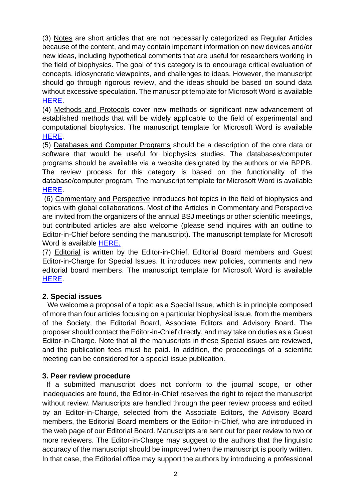(3) Notes are short articles that are not necessarily categorized as Regular Articles because of the content, and may contain important information on new devices and/or new ideas, including hypothetical comments that are useful for researchers working in the field of biophysics. The goal of this category is to encourage critical evaluation of concepts, idiosyncratic viewpoints, and challenges to ideas. However, the manuscript should go through rigorous review, and the ideas should be based on sound data without excessive speculation. The manuscript template for Microsoft Word is available [HERE.](https://www.biophys.jp/dl/biophysics_and_physicobiology/BPPB_NoteTemplate.zip)

(4) Methods and Protocols cover new methods or significant new advancement of established methods that will be widely applicable to the field of experimental and computational biophysics. The manuscript template for Microsoft Word is available [HERE.](https://www.biophys.jp/dl/biophysics_and_physicobiology/BPPB_M&PTemplate.zip)

(5) Databases and Computer Programs should be a description of the core data or software that would be useful for biophysics studies. The databases/computer programs should be available via a website designated by the authors or via BPPB. The review process for this category is based on the functionality of the database/computer program. The manuscript template for Microsoft Word is available [HERE.](https://www.biophys.jp/dl/biophysics_and_physicobiology/BPPB_DatabaseTemplate.zip)

(6) Commentary and Perspective introduces hot topics in the field of biophysics and topics with global collaborations. Most of the Articles in Commentary and Perspective are invited from the organizers of the annual BSJ meetings or other scientific meetings, but contributed articles are also welcome (please send inquires with an outline to Editor-in-Chief before sending the manuscript). The manuscript template for Microsoft Word is available [HERE.](https://www.biophys.jp/dl/biophysics_and_physicobiology/BPPB_C&PTemlate.zip)

(7) Editorial is written by the Editor-in-Chief, Editorial Board members and Guest Editor-in-Charge for Special Issues. It introduces new policies, comments and new editorial board members. The manuscript template for Microsoft Word is available [HERE.](https://www.biophys.jp/dl/biophysics_and_physicobiology/BPPB_EditorialTemplate.zip)

#### <span id="page-1-0"></span>**2. Special issues**

We welcome a proposal of a topic as a Special Issue, which is in principle composed of more than four articles focusing on a particular biophysical issue, from the members of the Society, the Editorial Board, Associate Editors and Advisory Board. The proposer should contact the Editor-in-Chief directly, and may take on duties as a Guest Editor-in-Charge. Note that all the manuscripts in these Special issues are reviewed, and the publication fees must be paid. In addition, the proceedings of a scientific meeting can be considered for a special issue publication.

#### <span id="page-1-1"></span>**3. Peer review procedure**

If a submitted manuscript does not conform to the journal scope, or other inadequacies are found, the Editor-in-Chief reserves the right to reject the manuscript without review. Manuscripts are handled through the peer review process and edited by an Editor-in-Charge, selected from the Associate Editors, the Advisory Board members, the Editorial Board members or the Editor-in-Chief, who are introduced in the web page of our Editorial Board. Manuscripts are sent out for peer review to two or more reviewers. The Editor-in-Charge may suggest to the authors that the linguistic accuracy of the manuscript should be improved when the manuscript is poorly written. In that case, the Editorial office may support the authors by introducing a professional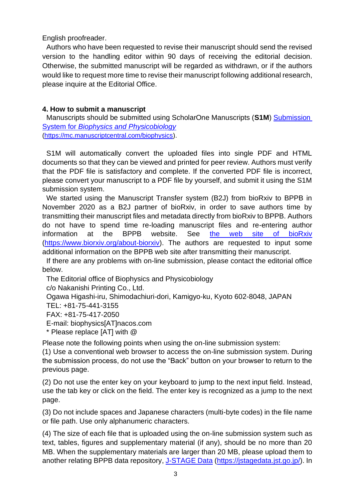English proofreader.

Authors who have been requested to revise their manuscript should send the revised version to the handling editor within 90 days of receiving the editorial decision. Otherwise, the submitted manuscript will be regarded as withdrawn, or if the authors would like to request more time to revise their manuscript following additional research, please inquire at the Editorial Office.

## <span id="page-2-0"></span>**4. How to submit a manuscript**

Manuscripts should be submitted using ScholarOne Manuscripts (**S1M**) [Submission](https://mc.manuscriptcentral.com/biophysics)  System for *[Biophysics and Physicobiology](https://mc.manuscriptcentral.com/biophysics)* [\(https://mc.manuscriptcentral.com/biophysics\)](https://mc.manuscriptcentral.com/biophysics).

S1M will automatically convert the uploaded files into single PDF and HTML documents so that they can be viewed and printed for peer review. Authors must verify that the PDF file is satisfactory and complete. If the converted PDF file is incorrect, please convert your manuscript to a PDF file by yourself, and submit it using the S1M submission system.

We started using the Manuscript Transfer system (B2J) from bioRxiv to BPPB in November 2020 as a B2J partner of bioRxiv, in order to save authors time by transmitting their manuscript files and metadata directly from bioRxiv to BPPB. Authors do not have to spend time re-loading manuscript files and re-entering author information at the BPPB website. See [the web site of bioRxiv](https://www.biorxiv.org/about-biorxiv) [\(https://www.biorxiv.org/about-biorxiv\)](https://www.biorxiv.org/about-biorxiv). The authors are requested to input some additional information on the BPPB web site after transmitting their manuscript.

If there are any problems with on-line submission, please contact the editorial office below.

The Editorial office of Biophysics and Physicobiology

c/o Nakanishi Printing Co., Ltd.

Ogawa Higashi-iru, Shimodachiuri-dori, Kamigyo-ku, Kyoto 602-8048, JAPAN

TEL: +81-75-441-3155

FAX: +81-75-417-2050

E-mail: [biophysics\[AT\]nacos.com](mailto:biophysics@nacos.com)

\* Please replace [AT] with @

Please note the following points when using the on-line submission system:

(1) Use a conventional web browser to access the on-line submission system. During the submission process, do not use the "Back" button on your browser to return to the previous page.

(2) Do not use the enter key on your keyboard to jump to the next input field. Instead, use the tab key or click on the field. The enter key is recognized as a jump to the next page.

(3) Do not include spaces and Japanese characters (multi-byte codes) in the file name or file path. Use only alphanumeric characters.

(4) The size of each file that is uploaded using the on-line submission system such as text, tables, figures and supplementary material (if any), should be no more than 20 MB. When the supplementary materials are larger than 20 MB, please upload them to another relating BPPB data repository, [J-STAGE Data](https://jstagedata.jst.go.jp/) [\(https://jstagedata.jst.go.jp/\)](https://jstagedata.jst.go.jp/). In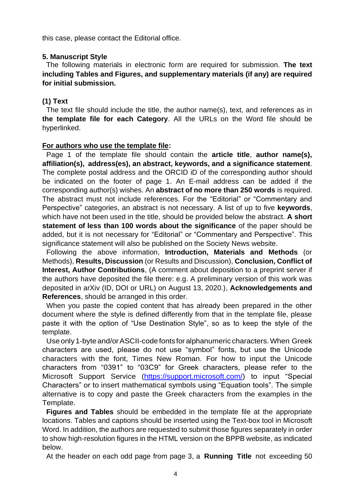this case, please contact the Editorial office.

#### <span id="page-3-0"></span>**5. Manuscript Style**

The following materials in electronic form are required for submission. **The text including Tables and Figures, and supplementary materials (if any) are required for initial submission.**

### **(1) Text**

The text file should include the title, the author name(s), text, and references as in **the template file for each Category**. All the URLs on the Word file should be hyperlinked.

#### **For authors who use the template file:**

Page 1 of the template file should contain the **article title**, **author name(s), affiliation(s), address(es), an abstract, keywords, and a significance statement**. The complete postal address and the ORCID iD of the corresponding author should be indicated on the footer of page 1. An E-mail address can be added if the corresponding author(s) wishes. An **abstract of no more than 250 words** is required. The abstract must not include references. For the "Editorial" or "Commentary and Perspective" categories, an abstract is not necessary. A list of up to five **keywords**, which have not been used in the title, should be provided below the abstract. **A short statement of less than 100 words about the significance** of the paper should be added, but it is not necessary for "Editorial" or "Commentary and Perspective". This significance statement will also be published on the Society News website.

Following the above information, **Introduction, Materials and Methods** (or Methods), **Results, Discussion** (or Results and Discussion), **Conclusion, Conflict of Interest, Author Contributions**, (A comment about deposition to a preprint server if the authors have deposited the file there: e.g. A preliminary version of this work was deposited in arXiv (ID, DOI or URL) on August 13, 2020.), **Acknowledgements and References**, should be arranged in this order.

When you paste the copied content that has already been prepared in the other document where the style is defined differently from that in the template file, please paste it with the option of "Use Destination Style", so as to keep the style of the template.

Use only1-byte and/orASCII-code fontsfor alphanumeric characters.When Greek characters are used, please do not use "symbol" fonts, but use the Unicode characters with the font, Times New Roman. For how to input the Unicode characters from "0391" to "03C9" for Greek characters, please refer to the Microsoft Support Service [\(https://support.microsoft.com/\)](https://support.microsoft.com/) to input "Special Characters" or to insert mathematical symbols using "Equation tools". The simple alternative is to copy and paste the Greek characters from the examples in the Template.

**Figures and Tables** should be embedded in the template file at the appropriate locations. Tables and captions should be inserted using the Text-box tool in Microsoft Word. In addition, the authors are requested to submit those figures separately in order to show high-resolution figures in the HTML version on the BPPB website, as indicated below.

At the header on each odd page from page 3, a **Running Title** not exceeding 50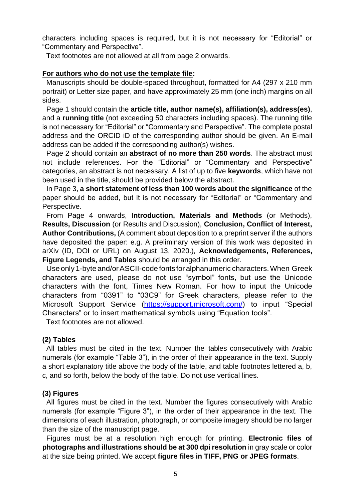characters including spaces is required, but it is not necessary for "Editorial" or "Commentary and Perspective".

Text footnotes are not allowed at all from page 2 onwards.

#### **For authors who do not use the template file:**

Manuscripts should be double-spaced throughout, formatted for A4 (297 x 210 mm portrait) or Letter size paper, and have approximately 25 mm (one inch) margins on all sides.

Page 1 should contain the **article title, author name(s), affiliation(s), address(es)**, and a **running title** (not exceeding 50 characters including spaces). The running title is not necessary for "Editorial" or "Commentary and Perspective". The complete postal address and the ORCID iD of the corresponding author should be given. An E-mail address can be added if the corresponding author(s) wishes.

Page 2 should contain an **abstract of no more than 250 words**. The abstract must not include references. For the "Editorial" or "Commentary and Perspective" categories, an abstract is not necessary. A list of up to five **keywords**, which have not been used in the title, should be provided below the abstract.

In Page 3, **a short statement of less than 100 words about the significance** of the paper should be added, but it is not necessary for "Editorial" or "Commentary and Perspective.

From Page 4 onwards, I**ntroduction, Materials and Methods** (or Methods), **Results, Discussion** (or Results and Discussion), **Conclusion, Conflict of Interest, Author Contributions,** (A comment about deposition to a preprint server if the authors have deposited the paper: e.g. A preliminary version of this work was deposited in arXiv (ID, DOI or URL) on August 13, 2020.), **Acknowledgements, References, Figure Legends, and Tables** should be arranged in this order.

Use only1-byte and/orASCII-code fontsfor alphanumeric characters.When Greek characters are used, please do not use "symbol" fonts, but use the Unicode characters with the font, Times New Roman. For how to input the Unicode characters from "0391" to "03C9" for Greek characters, please refer to the Microsoft Support Service [\(https://support.microsoft.com/\)](https://support.microsoft.com/) to input "Special Characters" or to insert mathematical symbols using "Equation tools".

Text footnotes are not allowed.

#### **(2) Tables**

All tables must be cited in the text. Number the tables consecutively with Arabic numerals (for example "Table 3"), in the order of their appearance in the text. Supply a short explanatory title above the body of the table, and table footnotes lettered a, b, c, and so forth, below the body of the table. Do not use vertical lines.

#### **(3) Figures**

All figures must be cited in the text. Number the figures consecutively with Arabic numerals (for example "Figure 3"), in the order of their appearance in the text. The dimensions of each illustration, photograph, or composite imagery should be no larger than the size of the manuscript page.

Figures must be at a resolution high enough for printing. **Electronic files of photographs and illustrations should be at 300 dpi resolution** in gray scale or color at the size being printed. We accept **figure files in TIFF, PNG or JPEG formats**.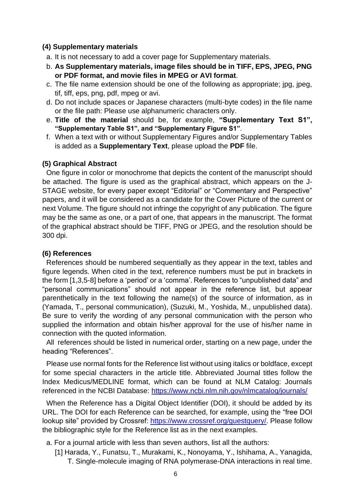#### **(4) Supplementary materials**

- a. It is not necessary to add a cover page for Supplementary materials.
- b. **As Supplementary materials, image files should be in TIFF, EPS, JPEG, PNG or PDF format, and movie files in MPEG or AVI format**.
- c. The file name extension should be one of the following as appropriate; jpg, jpeg, tif, tiff, eps, png, pdf, mpeg or avi.
- d. Do not include spaces or Japanese characters (multi-byte codes) in the file name or the file path: Please use alphanumeric characters only.
- e. **Title of the material** should be, for example, **"Supplementary Text S1", "Supplementary Table S1", and "Supplementary Figure S1"**.
- f. When a text with or without Supplementary Figures and/or Supplementary Tables is added as a **Supplementary Text**, please upload the **PDF** file.

#### **(5) Graphical Abstract**

One figure in color or monochrome that depicts the content of the manuscript should be attached. The figure is used as the graphical abstract, which appears on the J-STAGE website, for every paper except "Editorial" or "Commentary and Perspective" papers, and it will be considered as a candidate for the Cover Picture of the current or next Volume. The figure should not infringe the copyright of any publication. The figure may be the same as one, or a part of one, that appears in the manuscript. The format of the graphical abstract should be TIFF, PNG or JPEG, and the resolution should be 300 dpi.

#### **(6) References**

References should be numbered sequentially as they appear in the text, tables and figure legends. When cited in the text, reference numbers must be put in brackets in the form [1,3,5-8] before a 'period' or a 'comma'. References to "unpublished data" and "personal communications" should not appear in the reference list, but appear parenthetically in the text following the name(s) of the source of information, as in (Yamada, T., personal communication), (Suzuki, M., Yoshida, M., unpublished data). Be sure to verify the wording of any personal communication with the person who supplied the information and obtain his/her approval for the use of his/her name in connection with the quoted information.

All references should be listed in numerical order, starting on a new page, under the heading "References".

Please use normal fonts for the Reference list without using italics or boldface, except for some special characters in the article title. Abbreviated Journal titles follow the Index Medicus/MEDLINE format, which can be found at NLM Catalog: Journals referenced in the NCBI Database:<https://www.ncbi.nlm.nih.gov/nlmcatalog/journals/>

When the Reference has a Digital Object Identifier (DOI), it should be added by its URL. The DOI for each Reference can be searched, for example, using the "free DOI lookup site" provided by Crossref: [https://www.crossref.org/guestquery/.](https://www.crossref.org/guestquery/) Please follow the bibliographic style for the Reference list as in the next examples.

a. For a journal article with less than seven authors, list all the authors:

[1] Harada, Y., Funatsu, T., Murakami, K., Nonoyama, Y., Ishihama, A., Yanagida, T. Single-molecule imaging of RNA polymerase-DNA interactions in real time.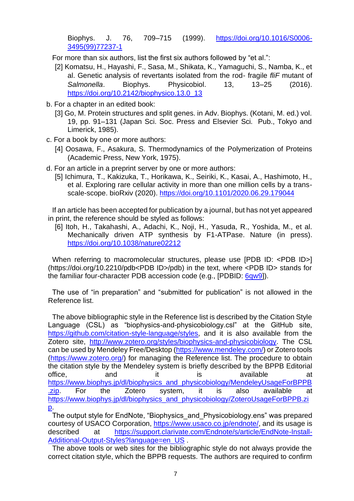Biophys. J. 76, 709–715 (1999). [https://doi.org/10.1016/S0006-](https://doi.org/10.1016/S0006-3495(99)77237-1) [3495\(99\)77237-1](https://doi.org/10.1016/S0006-3495(99)77237-1)

For more than six authors, list the first six authors followed by "et al.":

- [2] Komatsu, H., Hayashi, F., Sasa, M., Shikata, K., Yamaguchi, S., Namba, K., et al. Genetic analysis of revertants isolated from the rod- fragile *fliF* mutant of *Salmonella*. Biophys. Physicobiol. 13, 13–25 (2016). [https://doi.org/10.2142/biophysico.13.0\\_13](https://doi.org/10.2142/biophysico.13.0_13)
- b. For a chapter in an edited book:
	- [3] Go, M. Protein structures and split genes. in Adv. Biophys. (Kotani, M. ed.) vol. 19, pp. 91–131 (Japan Sci. Soc. Press and Elsevier Sci. Pub., Tokyo and Limerick, 1985).
- c. For a book by one or more authors:
	- [4] Oosawa, F., Asakura, S. Thermodynamics of the Polymerization of Proteins (Academic Press, New York, 1975).
- d. For an article in a preprint server by one or more authors:
	- [5] Ichimura, T., Kakizuka, T., Horikawa, K., Seiriki, K., Kasai, A., Hashimoto, H., et al. Exploring rare cellular activity in more than one million cells by a transscale-scope. bioRxiv (2020).<https://doi.org/10.1101/2020.06.29.179044>

If an article has been accepted for publication by a journal, but has not yet appeared in print, the reference should be styled as follows:

[6] Itoh, H., Takahashi, A., Adachi, K., Noji, H., Yasuda, R., Yoshida, M., et al. Mechanically driven ATP synthesis by F1-ATPase. Nature (in press). <https://doi.org/10.1038/nature02212>

When referring to macromolecular structures, please use [PDB ID: <PDB ID>] (https://doi.org/10.2210/pdb<PDB ID>/pdb) in the text, where <PDB ID> stands for the familiar four-character PDB accession code (e.g., [PDBID: [6qw9\]](https://doi.org/10.2210/pdb6qw9/pdb)).

<span id="page-6-0"></span>The use of "in preparation" and "submitted for publication" is not allowed in the Reference list.

The above bibliographic style in the Reference list is described by the Citation Style Language (CSL) as "biophysics-and-physicobiology.csl" at the GitHub site, [https://github.com/citation-style-language/styles,](https://github.com/citation-style-language/styles) and it is also available from the Zotero site, [http://www.zotero.org/styles/biophysics-and-physicobiology.](http://www.zotero.org/styles/biophysics-and-physicobiology) The CSL can be used by Mendeley Free/Desktop [\(https://www.mendeley.com/\)](https://www.mendeley.com/) or Zotero tools [\(https://www.zotero.org/\)](https://www.zotero.org/) for managing the Reference list. The procedure to obtain the citation style by the Mendeley system is briefly described by the BPPB Editorial office, and it is available at [https://www.biophys.jp/dl/biophysics\\_and\\_physicobiology/MendeleyUsageForBPPB](https://www.biophys.jp/dl/biophysics_and_physicobiology/MendeleyUsageForBPPB.zip) zip. For the Zotero system, it is also available at [https://www.biophys.jp/dl/biophysics\\_and\\_physicobiology/ZoteroUsageForBPPB.zi](https://www.biophys.jp/dl/biophysics_and_physicobiology/ZoteroUsageForBPPB.zip) [p.](https://www.biophys.jp/dl/biophysics_and_physicobiology/ZoteroUsageForBPPB.zip)

The output style for EndNote, "Biophysics\_and\_Physicobiology.ens" was prepared courtesy of USACO Corporation, [https://www.usaco.co.jp/endnote/,](https://www.usaco.co.jp/endnote/) and its usage is described at [https://support.clarivate.com/Endnote/s/article/EndNote-Install-](https://support.clarivate.com/Endnote/s/article/EndNote-Install-Additional-Output-Styles?language=en_US)[Additional-Output-Styles?language=en\\_US](https://support.clarivate.com/Endnote/s/article/EndNote-Install-Additional-Output-Styles?language=en_US)

The above tools or web sites for the bibliographic style do not always provide the correct citation style, which the BPPB requests. The authors are required to confirm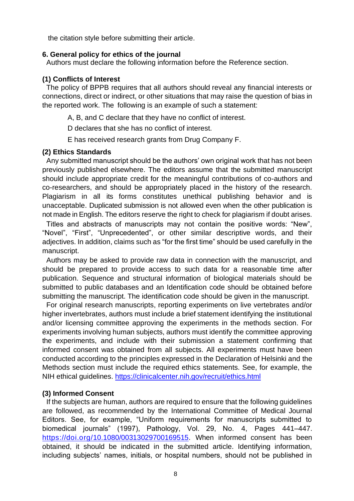the citation style before submitting their article.

#### **6. General policy for ethics of the journal**

Authors must declare the following information before the Reference section.

#### **(1) Conflicts of Interest**

The policy of BPPB requires that all authors should reveal any financial interests or connections, direct or indirect, or other situations that may raise the question of bias in the reported work. The following is an example of such a statement:

A, B, and C declare that they have no conflict of interest.

D declares that she has no conflict of interest.

E has received research grants from Drug Company F.

#### **(2) Ethics Standards**

Any submitted manuscript should be the authors' own original work that has not been previously published elsewhere. The editors assume that the submitted manuscript should include appropriate credit for the meaningful contributions of co-authors and co-researchers, and should be appropriately placed in the history of the research. Plagiarism in all its forms constitutes unethical publishing behavior and is unacceptable. Duplicated submission is not allowed even when the other publication is not made in English. The editors reserve the right to check for plagiarism if doubt arises.

Titles and abstracts of manuscripts may not contain the positive words: "New", "Novel", "First", "Unprecedented", or other similar descriptive words, and their adjectives. In addition, claims such as "for the first time" should be used carefully in the manuscript.

Authors may be asked to provide raw data in connection with the manuscript, and should be prepared to provide access to such data for a reasonable time after publication. Sequence and structural information of biological materials should be submitted to public databases and an Identification code should be obtained before submitting the manuscript. The identification code should be given in the manuscript.

For original research manuscripts, reporting experiments on live vertebrates and/or higher invertebrates, authors must include a brief statement identifying the institutional and/or licensing committee approving the experiments in the methods section. For experiments involving human subjects, authors must identify the committee approving the experiments, and include with their submission a statement confirming that informed consent was obtained from all subjects. All experiments must have been conducted according to the principles expressed in the Declaration of Helsinki and the Methods section must include the required ethics statements. See, for example, the NIH ethical guidelines. <https://clinicalcenter.nih.gov/recruit/ethics.html>

#### **(3) Informed Consent**

If the subjects are human, authors are required to ensure that the following guidelines are followed, as recommended by the International Committee of Medical Journal Editors. See, for example, "Uniform requirements for manuscripts submitted to biomedical journals" (1997), Pathology, Vol. 29, No. 4, Pages 441–447. [https://doi.org/10.1080/00313029700169515.](https://doi.org/10.1080/00313029700169515) When informed consent has been obtained, it should be indicated in the submitted article. Identifying information, including subjects' names, initials, or hospital numbers, should not be published in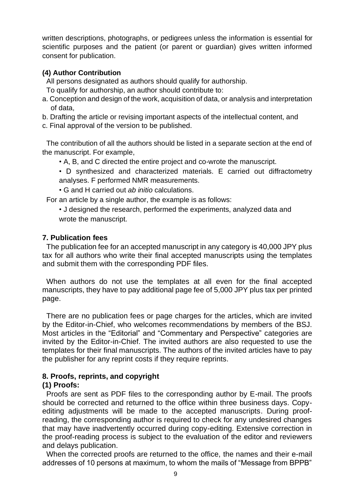written descriptions, photographs, or pedigrees unless the information is essential for scientific purposes and the patient (or parent or guardian) gives written informed consent for publication.

## **(4) Author Contribution**

All persons designated as authors should qualify for authorship.

- To qualify for authorship, an author should contribute to:
- a. Conception and design of the work, acquisition of data, or analysis and interpretation of data,
- b. Drafting the article or revising important aspects of the intellectual content, and
- c. Final approval of the version to be published.

The contribution of all the authors should be listed in a separate section at the end of the manuscript. For example,

- A, B, and C directed the entire project and co-wrote the manuscript.
- D synthesized and characterized materials. E carried out diffractometry analyses. F performed NMR measurements.
- G and H carried out *ab initio* calculations.

For an article by a single author, the example is as follows:

• J designed the research, performed the experiments, analyzed data and wrote the manuscript.

## <span id="page-8-0"></span>**7. Publication fees**

The publication fee for an accepted manuscript in any category is 40,000 JPY plus tax for all authors who write their final accepted manuscripts using the templates and submit them with the corresponding PDF files.

When authors do not use the templates at all even for the final accepted manuscripts, they have to pay additional page fee of 5,000 JPY plus tax per printed page.

There are no publication fees or page charges for the articles, which are invited by the Editor-in-Chief, who welcomes recommendations by members of the BSJ. Most articles in the "Editorial" and "Commentary and Perspective" categories are invited by the Editor-in-Chief. The invited authors are also requested to use the templates for their final manuscripts. The authors of the invited articles have to pay the publisher for any reprint costs if they require reprints.

## <span id="page-8-1"></span>**8. Proofs, reprints, and copyright**

## **(1) Proofs:**

Proofs are sent as PDF files to the corresponding author by E-mail. The proofs should be corrected and returned to the office within three business days. Copyediting adjustments will be made to the accepted manuscripts. During proofreading, the corresponding author is required to check for any undesired changes that may have inadvertently occurred during copy-editing. Extensive correction in the proof-reading process is subject to the evaluation of the editor and reviewers and delays publication.

When the corrected proofs are returned to the office, the names and their e-mail addresses of 10 persons at maximum, to whom the mails of "Message from BPPB"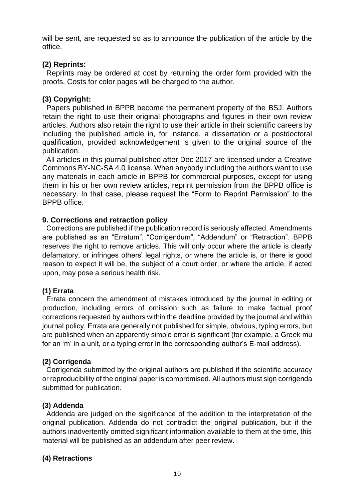will be sent, are requested so as to announce the publication of the article by the office.

## **(2) Reprints:**

Reprints may be ordered at cost by returning the order form provided with the proofs. Costs for color pages will be charged to the author.

## **(3) Copyright:**

Papers published in BPPB become the permanent property of the BSJ. Authors retain the right to use their original photographs and figures in their own review articles. Authors also retain the right to use their article in their scientific careers by including the published article in, for instance, a dissertation or a postdoctoral qualification, provided acknowledgement is given to the original source of the publication.

All articles in this journal published after Dec 2017 are licensed under a Creative Commons BY-NC-SA 4.0 license. When anybody including the authors want to use any materials in each article in BPPB for commercial purposes, except for using them in his or her own review articles, reprint permission from the BPPB office is necessary. In that case, please request the "Form to Reprint Permission" to the BPPB office.

#### <span id="page-9-0"></span>**9. Corrections and retraction policy**

Corrections are published if the publication record is seriously affected. Amendments are published as an "Erratum", "Corrigendum", "Addendum" or "Retraction". BPPB reserves the right to remove articles. This will only occur where the article is clearly defamatory, or infringes others' legal rights, or where the article is, or there is good reason to expect it will be, the subject of a court order, or where the article, if acted upon, may pose a serious health risk.

#### **(1) Errata**

Errata concern the amendment of mistakes introduced by the journal in editing or production, including errors of omission such as failure to make factual proof corrections requested by authors within the deadline provided by the journal and within journal policy. Errata are generally not published for simple, obvious, typing errors, but are published when an apparently simple error is significant (for example, a Greek mu for an 'm' in a unit, or a typing error in the corresponding author's E-mail address).

#### **(2) Corrigenda**

Corrigenda submitted by the original authors are published if the scientific accuracy or reproducibility of the original paper is compromised. All authors must sign corrigenda submitted for publication.

#### **(3) Addenda**

Addenda are judged on the significance of the addition to the interpretation of the original publication. Addenda do not contradict the original publication, but if the authors inadvertently omitted significant information available to them at the time, this material will be published as an addendum after peer review.

#### **(4) Retractions**